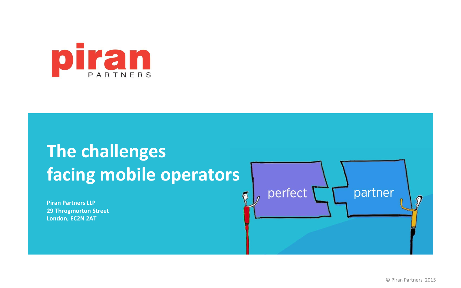

# **The challenges facing mobile operators**

**Piran Partners LLP 29 Throgmorton Street London, EC2N 2AT**

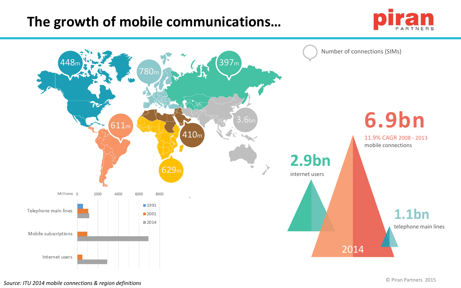### **The growth of mobile communications…**



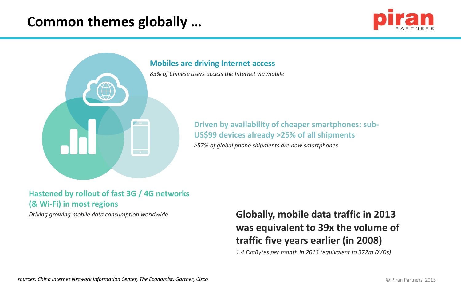### **Common themes globally …**





#### **Hastened by rollout of fast 3G / 4G networks (& Wi-Fi) in most regions**

*Driving growing mobile data consumption worldwide* **Globally, mobile data traffic in 2013 was equivalent to 39x the volume of traffic five years earlier (in 2008)**

*1.4 ExaBytes per month in 2013 (equivalent to 372m DVDs)*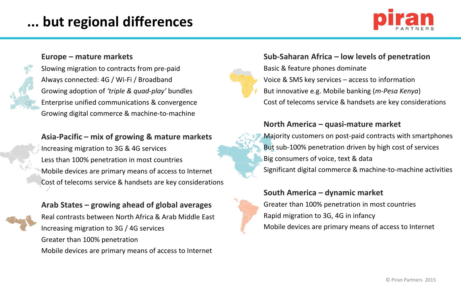# **... but regional differences**



#### **Europe – mature markets**

Slowing migration to contracts from pre-paid Always connected: 4G / Wi-Fi / Broadband Growing adoption of *'triple & quad-play'* bundles Enterprise unified communications & convergence Growing digital commerce & machine-to-machine

#### **Asia-Pacific – mix of growing & mature markets**

Increasing migration to 3G & 4G services Less than 100% penetration in most countries Mobile devices are primary means of access to Internet Cost of telecoms service & handsets are key considerations

#### **Arab States – growing ahead of global averages**

Real contrasts between North Africa & Arab Middle East Increasing migration to 3G / 4G services Greater than 100% penetration Mobile devices are primary means of access to Internet

#### **Sub-Saharan Africa – low levels of penetration**

Basic & feature phones dominate Voice & SMS key services – access to information But innovative e.g. Mobile banking (*m-Pesa Kenya*) Cost of telecoms service & handsets are key considerations

#### **North America – quasi-mature market**

Majority customers on post-paid contracts with smartphones But sub-100% penetration driven by high cost of services Big consumers of voice, text & data Significant digital commerce & machine-to-machine activities

#### **South America – dynamic market**

Greater than 100% penetration in most countries Rapid migration to 3G, 4G in infancy Mobile devices are primary means of access to Internet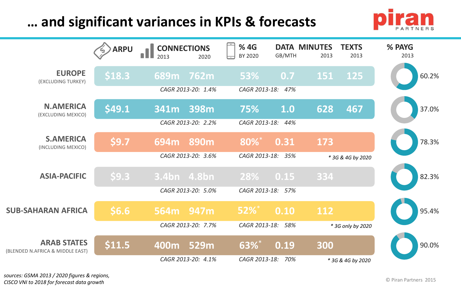## **… and significant variances in KPIs & forecasts**



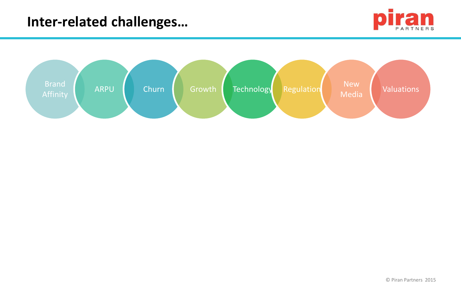

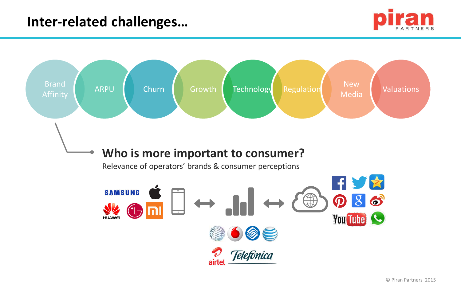

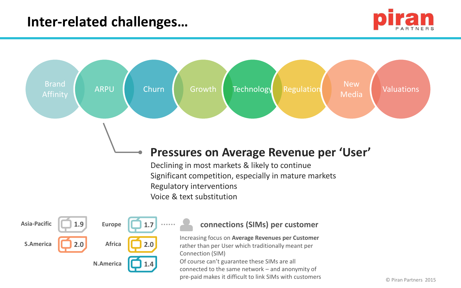



© Piran Partners 2015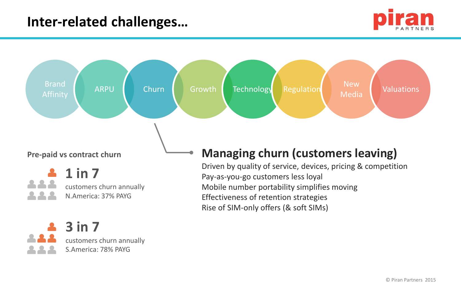customers churn annually

S.America: 78% PAYG





© Piran Partners 2015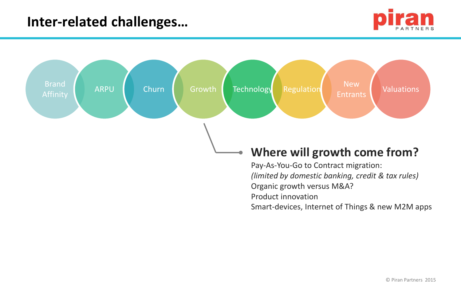

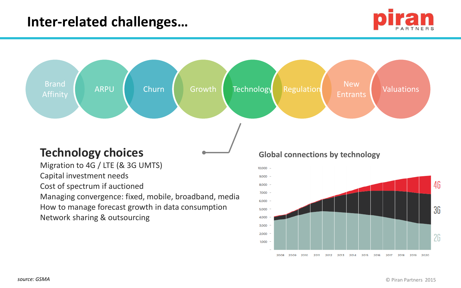



2008 2009 2010 2011 2012 2013 2014 2015 2016 2017 2018 2019 2020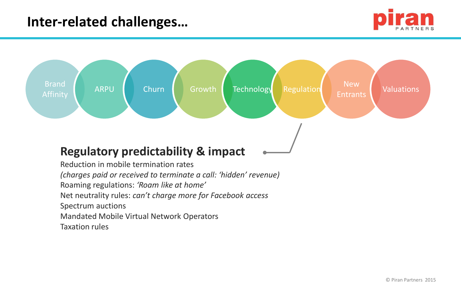



Taxation rules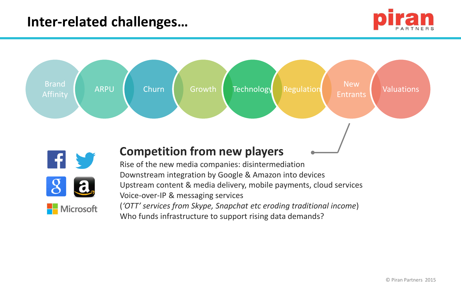





### **Competition from new players**

Rise of the new media companies: disintermediation Downstream integration by Google & Amazon into devices Upstream content & media delivery, mobile payments, cloud services Voice-over-IP & messaging services (*'OTT' services from Skype, Snapchat etc eroding traditional income*)

Who funds infrastructure to support rising data demands?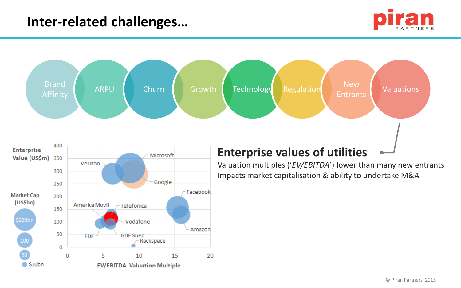

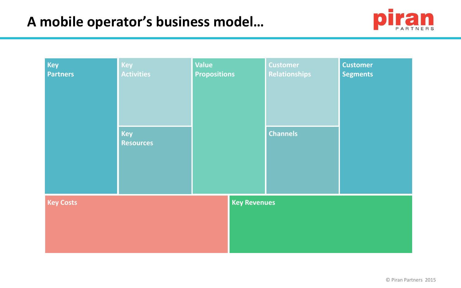

| <b>Key</b><br><b>Partners</b>           | Key<br><b>Activities</b> | Value<br><b>Propositions</b> | <b>Customer</b><br><b>Relationships</b> | <b>Customer</b><br><b>Segments</b> |  |  |
|-----------------------------------------|--------------------------|------------------------------|-----------------------------------------|------------------------------------|--|--|
|                                         | Key<br><b>Resources</b>  |                              | <b>Channels</b>                         |                                    |  |  |
| <b>Key Revenues</b><br><b>Key Costs</b> |                          |                              |                                         |                                    |  |  |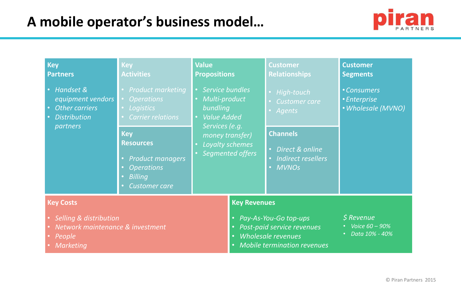

| <b>Key</b><br><b>Partners</b>                                                     | <b>Key</b><br><b>Activities</b>                                                                                          | <b>Value</b><br><b>Propositions</b>                                      |                                                                                                                                                        | <b>Customer</b><br><b>Relationships</b>                                 | <b>Customer</b><br><b>Segments</b>              |
|-----------------------------------------------------------------------------------|--------------------------------------------------------------------------------------------------------------------------|--------------------------------------------------------------------------|--------------------------------------------------------------------------------------------------------------------------------------------------------|-------------------------------------------------------------------------|-------------------------------------------------|
| Handset &<br>equipment vendors<br><b>Other carriers</b><br><b>Distribution</b>    | <b>Product marketing</b><br><b>Operations</b><br>Logistics<br><b>Carrier relations</b>                                   | Service bundles<br>Multi-product<br>bundling<br>· Value Added            | · High-touch<br>Customer care<br><b>Agents</b>                                                                                                         | • Consumers<br>• Enterprise<br>• Wholesale (MVNO)                       |                                                 |
| partners                                                                          | <b>Key</b><br><b>Resources</b><br><b>Product managers</b><br><b>Operations</b><br><b>Billing</b><br><b>Customer care</b> | Services (e.g.<br>money transfer)<br>Loyalty schemes<br>Segmented offers |                                                                                                                                                        | <b>Channels</b><br>• Direct & online<br>· Indirect resellers<br>• MVNOs |                                                 |
| <b>Key Costs</b>                                                                  |                                                                                                                          |                                                                          | <b>Key Revenues</b>                                                                                                                                    |                                                                         |                                                 |
| Selling & distribution<br>Network maintenance & investment<br>People<br>Marketing |                                                                                                                          |                                                                          | Pay-As-You-Go top-ups<br>$\bullet$<br>Post-paid service revenues<br>$\bullet$<br>Wholesale revenues<br>$\bullet$<br><b>Mobile termination revenues</b> |                                                                         | $$$ Revenue<br>Voice 60 - 90%<br>Data 10% - 40% |